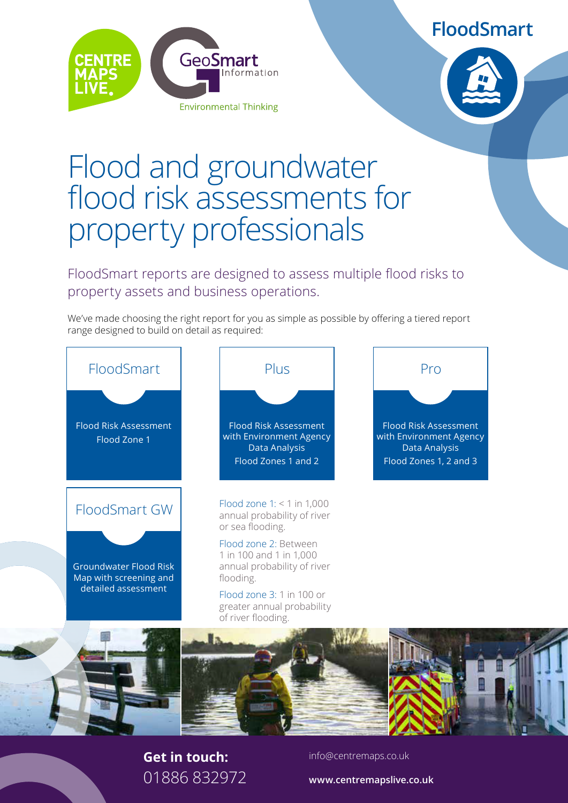**FloodSmart**





# Flood and groundwater flood risk assessments for property professionals

FloodSmart reports are designed to assess multiple flood risks to property assets and business operations.

We've made choosing the right report for you as simple as possible by offering a tiered report range designed to build on detail as required:



#### **Get in touch:** 01886 832972

info@centremaps.co.uk

**www.centremapslive.co.uk**